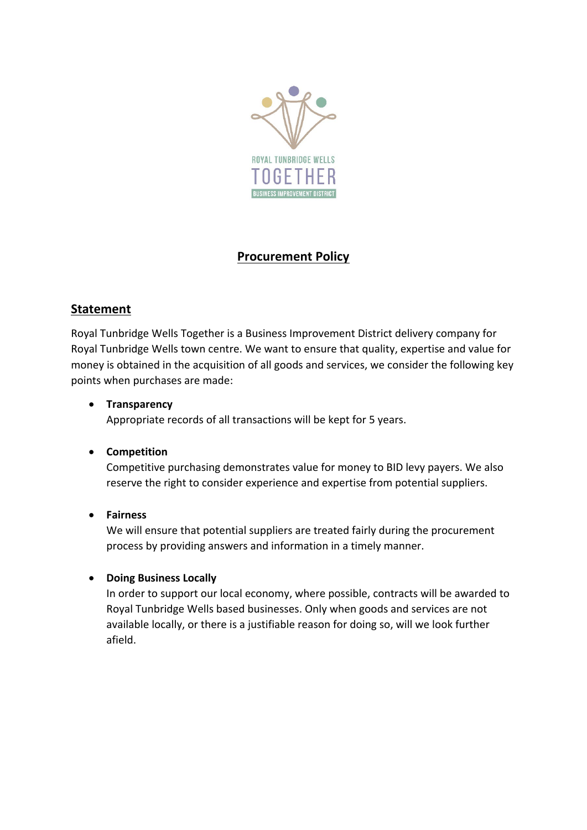

# **Procurement Policy**

# **Statement**

Royal Tunbridge Wells Together is a Business Improvement District delivery company for Royal Tunbridge Wells town centre. We want to ensure that quality, expertise and value for money is obtained in the acquisition of all goods and services, we consider the following key points when purchases are made:

#### • **Transparency**

Appropriate records of all transactions will be kept for 5 years.

#### • **Competition**

Competitive purchasing demonstrates value for money to BID levy payers. We also reserve the right to consider experience and expertise from potential suppliers.

#### • **Fairness**

We will ensure that potential suppliers are treated fairly during the procurement process by providing answers and information in a timely manner.

### • **Doing Business Locally**

In order to support our local economy, where possible, contracts will be awarded to Royal Tunbridge Wells based businesses. Only when goods and services are not available locally, or there is a justifiable reason for doing so, will we look further afield.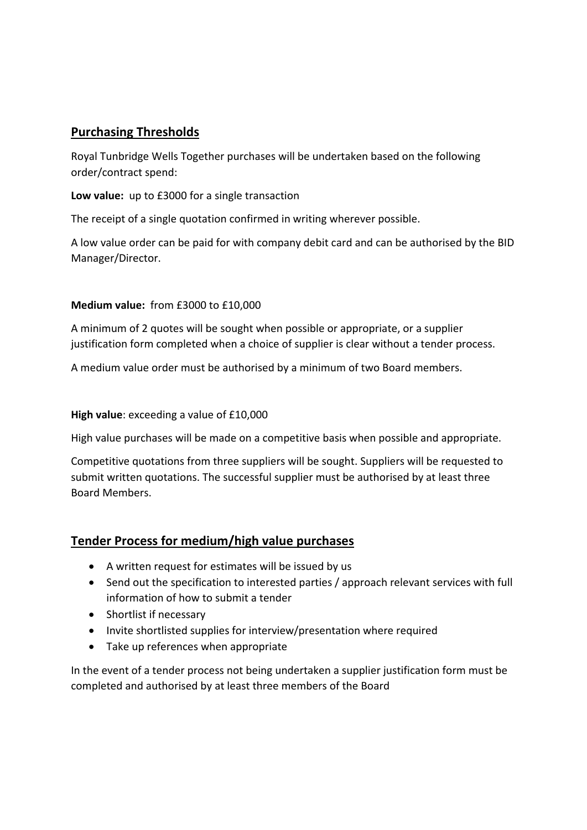# **Purchasing Thresholds**

Royal Tunbridge Wells Together purchases will be undertaken based on the following order/contract spend:

**Low value:** up to £3000 for a single transaction

The receipt of a single quotation confirmed in writing wherever possible.

A low value order can be paid for with company debit card and can be authorised by the BID Manager/Director.

#### **Medium value:** from £3000 to £10,000

A minimum of 2 quotes will be sought when possible or appropriate, or a supplier justification form completed when a choice of supplier is clear without a tender process.

A medium value order must be authorised by a minimum of two Board members.

#### **High value**: exceeding a value of £10,000

High value purchases will be made on a competitive basis when possible and appropriate.

Competitive quotations from three suppliers will be sought. Suppliers will be requested to submit written quotations. The successful supplier must be authorised by at least three Board Members.

### **Tender Process for medium/high value purchases**

- A written request for estimates will be issued by us
- Send out the specification to interested parties / approach relevant services with full information of how to submit a tender
- Shortlist if necessary
- Invite shortlisted supplies for interview/presentation where required
- Take up references when appropriate

In the event of a tender process not being undertaken a supplier justification form must be completed and authorised by at least three members of the Board